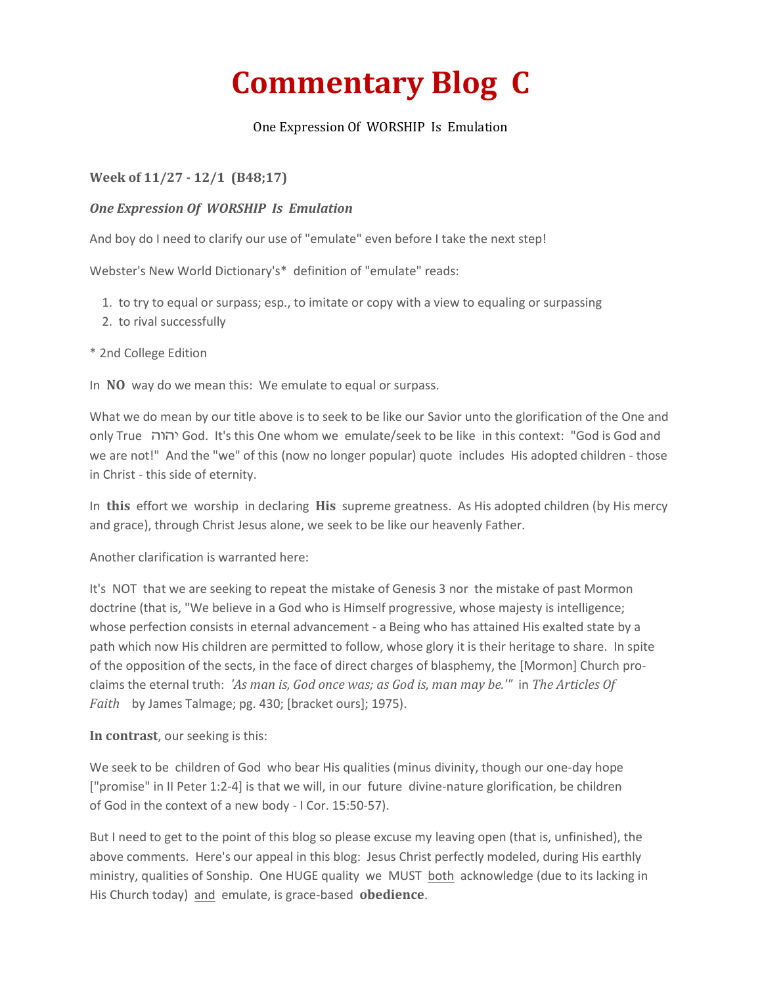## **Commentary Blog C**

## One Expression Of WORSHIP Is Emulation

## **Week of 11/27 - 12/1 (B48;17)**

## *One Expression Of WORSHIP Is Emulation*

And boy do I need to clarify our use of "emulate" even before I take the next step!

Webster's New World Dictionary's\* definition of "emulate" reads:

- 1. to try to equal or surpass; esp., to imitate or copy with a view to equaling or surpassing
- 2. to rival successfully

\* 2nd College Edition

In **NO** way do we mean this: We emulate to equal or surpass.

What we do mean by our title above is to seek to be like our Savior unto the glorification of the One and only True God. It's this One whom we emulate/seek to be like in this context: "God is God and we are not!" And the "we" of this (now no longer popular) quote includes His adopted children - those in Christ - this side of eternity.

In **this** effort we worship in declaring **His** supreme greatness. As His adopted children (by His mercy and grace), through Christ Jesus alone, we seek to be like our heavenly Father.

Another clarification is warranted here:

It's NOT that we are seeking to repeat the mistake of Genesis 3 nor the mistake of past Mormon doctrine (that is, "We believe in a God who is Himself progressive, whose majesty is intelligence; whose perfection consists in eternal advancement - a Being who has attained His exalted state by a path which now His children are permitted to follow, whose glory it is their heritage to share. In spite of the opposition of the sects, in the face of direct charges of blasphemy, the [Mormon] Church proclaims the eternal truth: *'As man is, God once was; as God is, man may be.'"* in *The Articles Of Faith* by James Talmage; pg. 430; [bracket ours]; 1975).

**In contrast**, our seeking is this:

We seek to be children of God who bear His qualities (minus divinity, though our one-day hope ["promise" in II Peter 1:2-4] is that we will, in our future divine-nature glorification, be children of God in the context of a new body - I Cor. 15:50-57).

But I need to get to the point of this blog so please excuse my leaving open (that is, unfinished), the above comments. Here's our appeal in this blog: Jesus Christ perfectly modeled, during His earthly ministry, qualities of Sonship. One HUGE quality we MUST both acknowledge (due to its lacking in His Church today) and emulate, is grace-based **obedience**.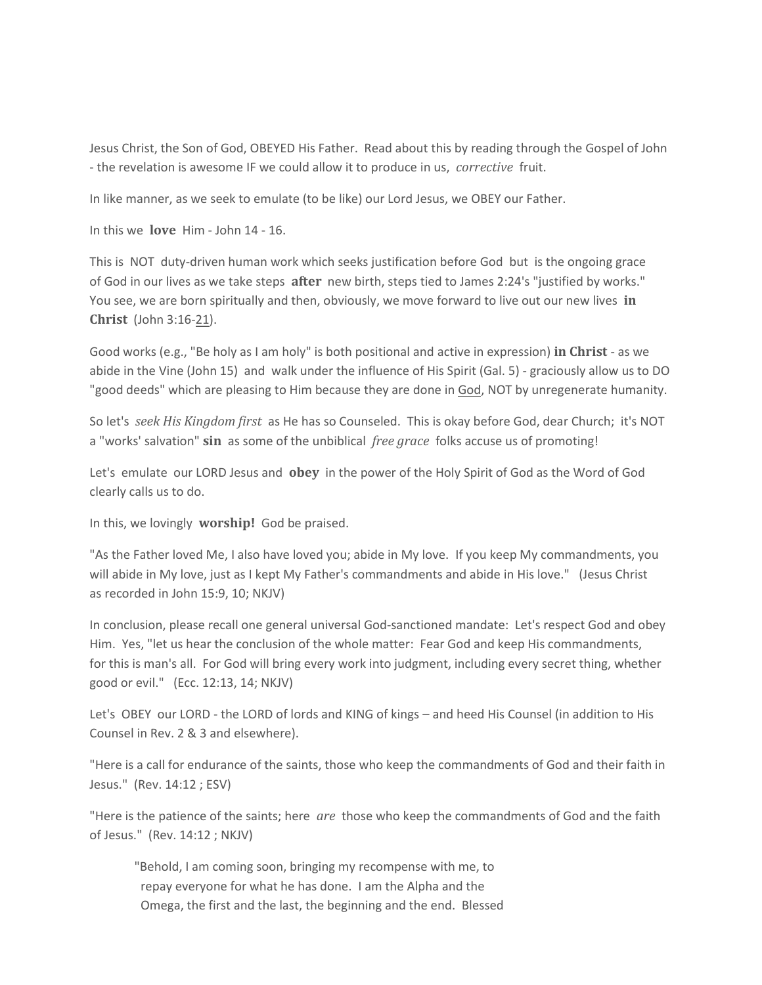Jesus Christ, the Son of God, OBEYED His Father. Read about this by reading through the Gospel of John - the revelation is awesome IF we could allow it to produce in us, *corrective* fruit.

In like manner, as we seek to emulate (to be like) our Lord Jesus, we OBEY our Father.

In this we **love** Him - John 14 - 16.

This is NOT duty-driven human work which seeks justification before God but is the ongoing grace of God in our lives as we take steps **after** new birth, steps tied to James 2:24's "justified by works." You see, we are born spiritually and then, obviously, we move forward to live out our new lives **in Christ** (John 3:16-21).

Good works (e.g., "Be holy as I am holy" is both positional and active in expression) **in Christ** - as we abide in the Vine (John 15) and walk under the influence of His Spirit (Gal. 5) - graciously allow us to DO "good deeds" which are pleasing to Him because they are done in God, NOT by unregenerate humanity.

So let's *seek His Kingdom first* as He has so Counseled. This is okay before God, dear Church; it's NOT a "works' salvation" **sin** as some of the unbiblical *free grace* folks accuse us of promoting!

Let's emulate our LORD Jesus and **obey** in the power of the Holy Spirit of God as the Word of God clearly calls us to do.

In this, we lovingly **worship!** God be praised.

"As the Father loved Me, I also have loved you; abide in My love. If you keep My commandments, you will abide in My love, just as I kept My Father's commandments and abide in His love." (Jesus Christ as recorded in John 15:9, 10; NKJV)

In conclusion, please recall one general universal God-sanctioned mandate: Let's respect God and obey Him. Yes, "let us hear the conclusion of the whole matter: Fear God and keep His commandments, for this is man's all. For God will bring every work into judgment, including every secret thing, whether good or evil." (Ecc. 12:13, 14; NKJV)

Let's OBEY our LORD - the LORD of lords and KING of kings – and heed His Counsel (in addition to His Counsel in Rev. 2 & 3 and elsewhere).

"Here is a call for endurance of the saints, those who keep the commandments of God and their faith in Jesus." (Rev. 14:12 ; ESV)

"Here is the patience of the saints; here *are* those who keep the commandments of God and the faith of Jesus." (Rev. 14:12 ; NKJV)

"Behold, I am coming soon, bringing my recompense with me, to repay everyone for what he has done. I am the Alpha and the Omega, the first and the last, the beginning and the end. Blessed